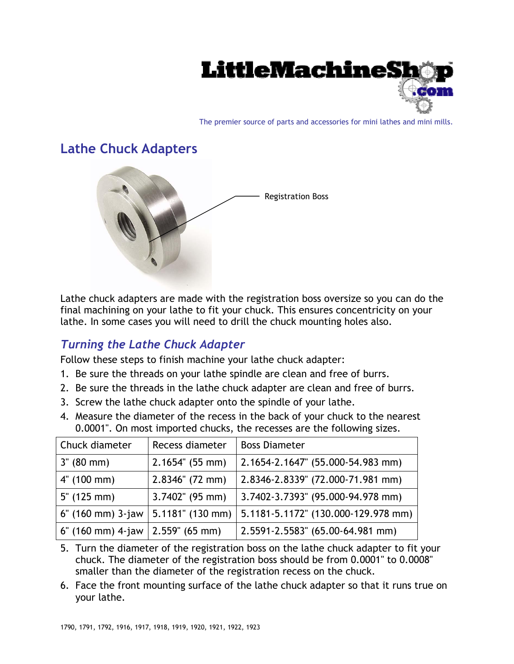

The premier source of parts and accessories for mini lathes and mini mills.

## **Lathe Chuck Adapters**



Lathe chuck adapters are made with the registration boss oversize so you can do the final machining on your lathe to fit your chuck. This ensures concentricity on your lathe. In some cases you will need to drill the chuck mounting holes also.

## *Turning the Lathe Chuck Adapter*

Follow these steps to finish machine your lathe chuck adapter:

- 1. Be sure the threads on your lathe spindle are clean and free of burrs.
- 2. Be sure the threads in the lathe chuck adapter are clean and free of burrs.
- 3. Screw the lathe chuck adapter onto the spindle of your lathe.
- 4. Measure the diameter of the recess in the back of your chuck to the nearest 0.0001". On most imported chucks, the recesses are the following sizes.

| Chuck diameter      | Recess diameter    | <b>Boss Diameter</b>                |
|---------------------|--------------------|-------------------------------------|
| $3'' (80$ mm)       | $2.1654$ " (55 mm) | 2.1654-2.1647" (55.000-54.983 mm)   |
| 4" (100 mm)         | $2.8346''$ (72 mm) | 2.8346-2.8339" (72.000-71.981 mm)   |
| $5''$ (125 mm)      | $3.7402$ " (95 mm) | 3.7402-3.7393" (95.000-94.978 mm)   |
| $6"$ (160 mm) 3-jaw | 5.1181" (130 mm)   | 5.1181-5.1172" (130.000-129.978 mm) |
| $6'$ (160 mm) 4-jaw | $2.559$ " (65 mm)  | 2.5591-2.5583" (65.00-64.981 mm)    |

- 5. Turn the diameter of the registration boss on the lathe chuck adapter to fit your chuck. The diameter of the registration boss should be from 0.0001" to 0.0008" smaller than the diameter of the registration recess on the chuck.
- 6. Face the front mounting surface of the lathe chuck adapter so that it runs true on your lathe.